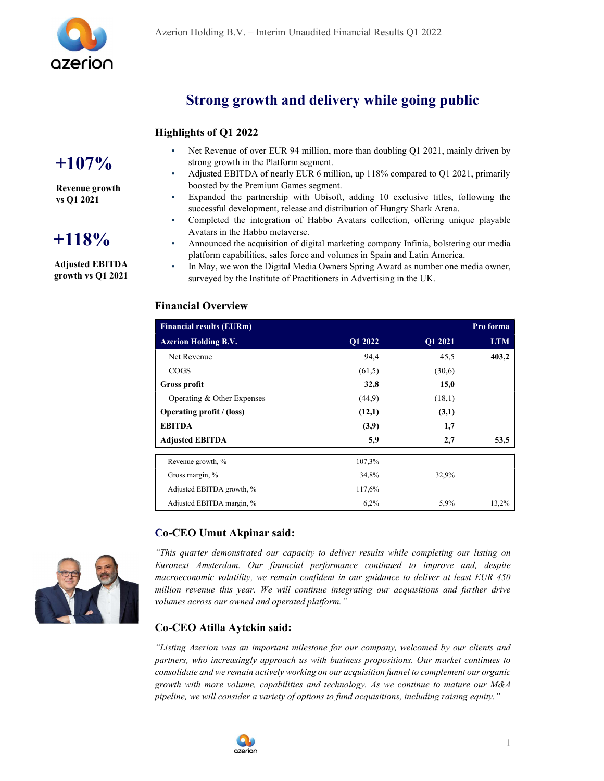

### Strong growth and delivery while going public

### Highlights of Q1 2022

# $+107\%$

Revenue growth vs Q1 2021

# $+118%$

Adjusted EBITDA growth vs Q1 2021

- Net Revenue of over EUR 94 million, more than doubling Q1 2021, mainly driven by strong growth in the Platform segment.
- Adjusted EBITDA of nearly EUR 6 million, up 118% compared to Q1 2021, primarily boosted by the Premium Games segment.
- Expanded the partnership with Ubisoft, adding 10 exclusive titles, following the successful development, release and distribution of Hungry Shark Arena.
- Completed the integration of Habbo Avatars collection, offering unique playable Avatars in the Habbo metaverse.
- Announced the acquisition of digital marketing company Infinia, bolstering our media platform capabilities, sales force and volumes in Spain and Latin America.
- In May, we won the Digital Media Owners Spring Award as number one media owner, surveyed by the Institute of Practitioners in Advertising in the UK.

### Financial Overview

| <b>Financial results (EURm)</b> |         |         | Pro forma  |
|---------------------------------|---------|---------|------------|
| <b>Azerion Holding B.V.</b>     | O1 2022 | Q1 2021 | <b>LTM</b> |
| Net Revenue                     | 94,4    | 45,5    | 403,2      |
| <b>COGS</b>                     | (61,5)  | (30,6)  |            |
| Gross profit                    | 32,8    | 15,0    |            |
| Operating & Other Expenses      | (44,9)  | (18,1)  |            |
| Operating profit / (loss)       | (12,1)  | (3,1)   |            |
| <b>EBITDA</b>                   | (3,9)   | 1,7     |            |
| <b>Adjusted EBITDA</b>          | 5,9     | 2,7     | 53,5       |
| Revenue growth, %               | 107,3%  |         |            |
| Gross margin, %                 | 34,8%   | 32,9%   |            |
| Adjusted EBITDA growth, %       | 117,6%  |         |            |
| Adjusted EBITDA margin, %       | 6,2%    | 5,9%    | 13,2%      |

### Co-CEO Umut Akpinar said:



"This quarter demonstrated our capacity to deliver results while completing our listing on Euronext Amsterdam. Our financial performance continued to improve and, despite macroeconomic volatility, we remain confident in our guidance to deliver at least EUR 450 million revenue this year. We will continue integrating our acquisitions and further drive volumes across our owned and operated platform."

### Co-CEO Atilla Aytekin said:

"Listing Azerion was an important milestone for our company, welcomed by our clients and partners, who increasingly approach us with business propositions. Our market continues to consolidate and we remain actively working on our acquisition funnel to complement our organic growth with more volume, capabilities and technology. As we continue to mature our  $M&A$ pipeline, we will consider a variety of options to fund acquisitions, including raising equity."

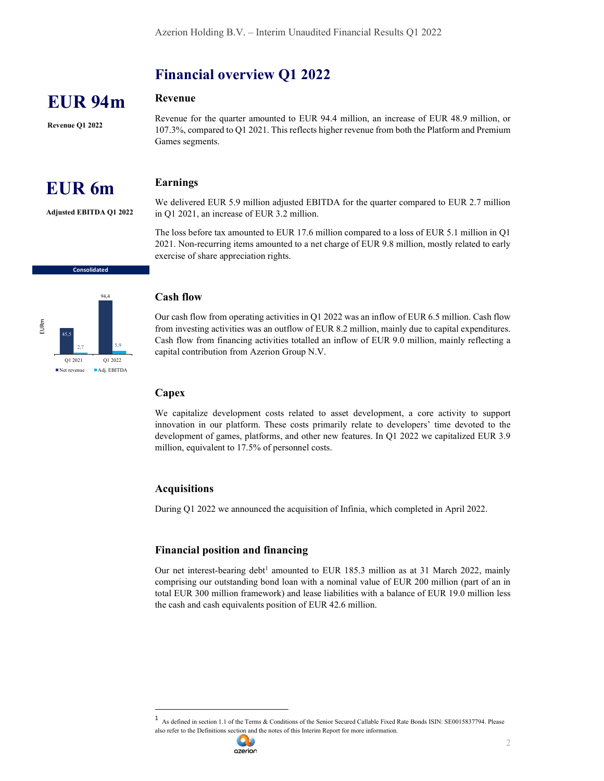### Financial overview Q1 2022

### Revenue

Revenue Q1 2022

EUR 94m

Revenue for the quarter amounted to EUR 94.4 million, an increase of EUR 48.9 million, or 107.3%, compared to Q1 2021. This reflects higher revenue from both the Platform and Premium Games segments.

#### Earnings

Adjusted EBITDA Q1 2022

EUR 6m

We delivered EUR 5.9 million adjusted EBITDA for the quarter compared to EUR 2.7 million in Q1 2021, an increase of EUR 3.2 million.

The loss before tax amounted to EUR 17.6 million compared to a loss of EUR 5.1 million in Q1 2021. Non-recurring items amounted to a net charge of EUR 9.8 million, mostly related to early exercise of share appreciation rights.



Consolidated

Our cash flow from operating activities in Q1 2022 was an inflow of EUR 6.5 million. Cash flow from investing activities was an outflow of EUR 8.2 million, mainly due to capital expenditures. The cash flow from financing activities totalled an inflow of EUR 9.0 million, mainly reflecting a cash flow from financing activities totalled an inflow of EUR 9.0 million, mainly reflecting a capital contribution from Azerion Group N.V. **EVACUAL EXECTS**<br> **EXECUAL EXECTS**<br> **EXECUAL EXECTS**<br> **EXECUAL EXECTS**<br> **EVACUAL EXECTS**<br> **EVACUAL EXECTS**<br> **EVACUAL EXECTS**<br> **EVACUAL EXECTS**<br> **EXECUAL EXECTS**<br> **EXECUAL EXECTS**<br> **EXECUAL EXECTS**<br> **EXECUAL EXECTS**<br> **EXEC** 

#### **Capex**

We capitalize development costs related to asset development, a core activity to support innovation in our platform. These costs primarily relate to developers' time devoted to the development of games, platforms, and other new features. In Q1 2022 we capitalized EUR 3.9 million, equivalent to 17.5% of personnel costs.

### Acquisitions

During Q1 2022 we announced the acquisition of Infinia, which completed in April 2022.

### Financial position and financing

Our net interest-bearing debt<sup>1</sup> amounted to EUR 185.3 million as at 31 March 2022, mainly comprising our outstanding bond loan with a nominal value of EUR 200 million (part of an in total EUR 300 million framework) and lease liabilities with a balance of EUR 19.0 million less the cash and cash equivalents position of EUR 42.6 million.

<sup>1</sup> As defined in section 1.1 of the Terms & Conditions of the Senior Secured Callable Fixed Rate Bonds ISIN: SE0015837794. Please also refer to the Definitions section and the notes of this Interim Report for more information.

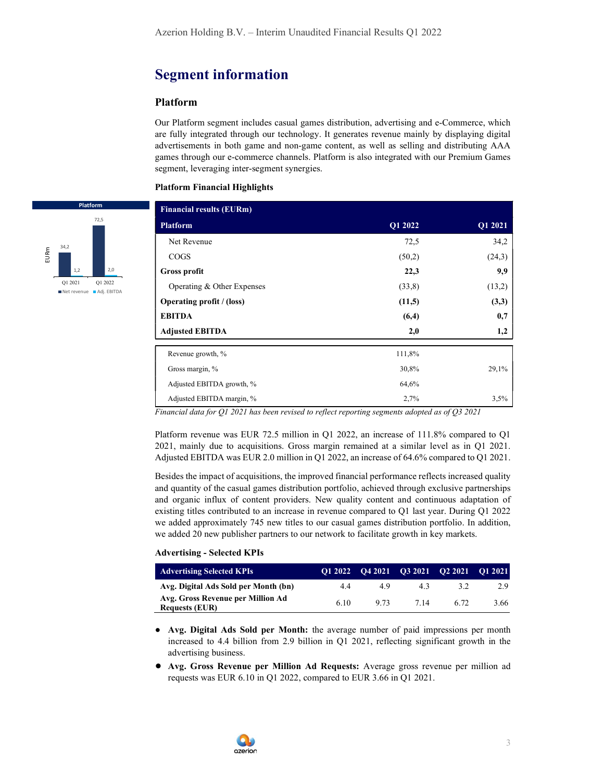### Segment information

### Platform

Our Platform segment includes casual games distribution, advertising and e-Commerce, which are fully integrated through our technology. It generates revenue mainly by displaying digital advertisements in both game and non-game content, as well as selling and distributing AAA games through our e-commerce channels. Platform is also integrated with our Premium Games segment, leveraging inter-segment synergies.

#### Platform Financial Highlights



Financial data for Q1 2021 has been revised to reflect reporting segments adopted as of Q3 2021

Platform revenue was EUR 72.5 million in Q1 2022, an increase of 111.8% compared to Q1 2021, mainly due to acquisitions. Gross margin remained at a similar level as in Q1 2021. Adjusted EBITDA was EUR 2.0 million in Q1 2022, an increase of 64.6% compared to Q1 2021.

Besides the impact of acquisitions, the improved financial performance reflects increased quality and quantity of the casual games distribution portfolio, achieved through exclusive partnerships and organic influx of content providers. New quality content and continuous adaptation of existing titles contributed to an increase in revenue compared to Q1 last year. During Q1 2022 we added approximately 745 new titles to our casual games distribution portfolio. In addition, we added 20 new publisher partners to our network to facilitate growth in key markets.

#### Advertising - Selected KPIs

| <b>Advertising Selected KPIs</b>                           | O1 2022 |      | $042021$ $032021$ $022021$ |      | $-012021$ |
|------------------------------------------------------------|---------|------|----------------------------|------|-----------|
| Avg. Digital Ads Sold per Month (bn)                       | 4.4     | 49   | 43                         | 3.2  | 2.9       |
| Avg. Gross Revenue per Million Ad<br><b>Requests (EUR)</b> | 6.10    | 9.73 | 7.14                       | 6.72 | 3.66      |

- Avg. Digital Ads Sold per Month: the average number of paid impressions per month increased to 4.4 billion from 2.9 billion in Q1 2021, reflecting significant growth in the advertising business.
- Avg. Gross Revenue per Million Ad Requests: Average gross revenue per million ad requests was EUR 6.10 in Q1 2022, compared to EUR 3.66 in Q1 2021.

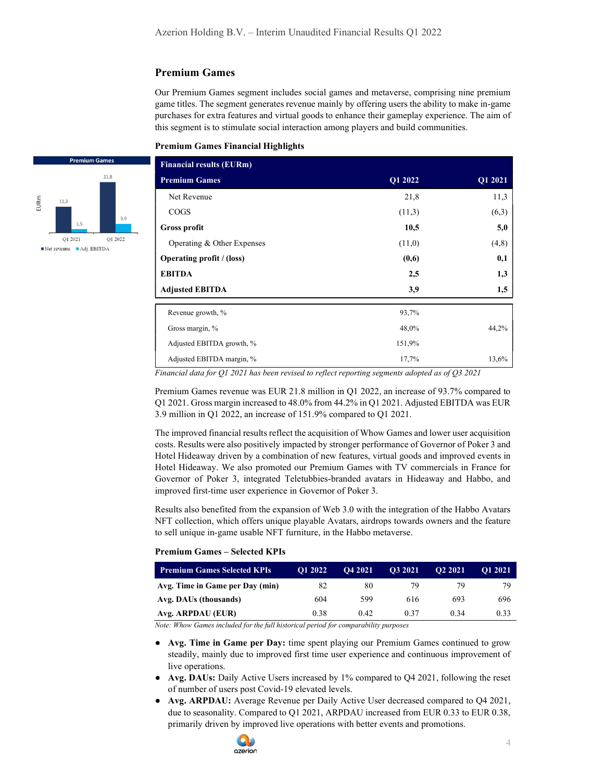### Premium Games

Our Premium Games segment includes social games and metaverse, comprising nine premium game titles. The segment generates revenue mainly by offering users the ability to make in-game purchases for extra features and virtual goods to enhance their gameplay experience. The aim of this segment is to stimulate social interaction among players and build communities.

#### Premium Games Financial Highlights

| <b>Financial results (EURm)</b> |         |         |
|---------------------------------|---------|---------|
| <b>Premium Games</b>            | Q1 2022 | Q1 2021 |
| Net Revenue                     | 21,8    | 11,3    |
| <b>COGS</b>                     | (11,3)  | (6,3)   |
| <b>Gross profit</b>             | 10,5    | 5,0     |
| Operating & Other Expenses      | (11,0)  | (4,8)   |
| Operating profit / (loss)       | (0,6)   | 0,1     |
| <b>EBITDA</b>                   | 2,5     | 1,3     |
| <b>Adjusted EBITDA</b>          | 3,9     | 1,5     |
| Revenue growth, %               | 93,7%   |         |
| Gross margin, %                 | 48,0%   | 44.2%   |
| Adjusted EBITDA growth, %       | 151,9%  |         |
| Adjusted EBITDA margin, %       | 17,7%   | 13,6%   |

Financial data for Q1 2021 has been revised to reflect reporting segments adopted as of  $Q3$  2021

Premium Games revenue was EUR 21.8 million in Q1 2022, an increase of 93.7% compared to Q1 2021. Gross margin increased to 48.0% from 44.2% in Q1 2021. Adjusted EBITDA was EUR 3.9 million in Q1 2022, an increase of 151.9% compared to Q1 2021.

The improved financial results reflect the acquisition of Whow Games and lower user acquisition costs. Results were also positively impacted by stronger performance of Governor of Poker 3 and Hotel Hideaway driven by a combination of new features, virtual goods and improved events in Hotel Hideaway. We also promoted our Premium Games with TV commercials in France for Governor of Poker 3, integrated Teletubbies-branded avatars in Hideaway and Habbo, and improved first-time user experience in Governor of Poker 3.

Results also benefited from the expansion of Web 3.0 with the integration of the Habbo Avatars NFT collection, which offers unique playable Avatars, airdrops towards owners and the feature to sell unique in-game usable NFT furniture, in the Habbo metaverse.

#### Premium Games – Selected KPIs

| <b>Premium Games Selected KPIs</b> | O1 2022 | O <sub>4</sub> 2021 | O3 2021 | O <sub>2</sub> 2021 | O1 2021 |
|------------------------------------|---------|---------------------|---------|---------------------|---------|
| Avg. Time in Game per Day (min)    | 82      | 80                  | 79      | 79                  | 79      |
| Avg. DAUs (thousands)              | 604     | 599                 | 616     | 693                 | 696     |
| Avg. ARPDAU (EUR)                  | 0.38    | 0.42                | 0.37    | 0.34                | 0.33    |

Note: Whow Games included for the full historical period for comparability purposes

- Avg. Time in Game per Day: time spent playing our Premium Games continued to grow steadily, mainly due to improved first time user experience and continuous improvement of live operations.
- Avg. DAUs: Daily Active Users increased by 1% compared to Q4 2021, following the reset of number of users post Covid-19 elevated levels.
- Avg. ARPDAU: Average Revenue per Daily Active User decreased compared to Q4 2021, due to seasonality. Compared to Q1 2021, ARPDAU increased from EUR 0.33 to EUR 0.38, primarily driven by improved live operations with better events and promotions.



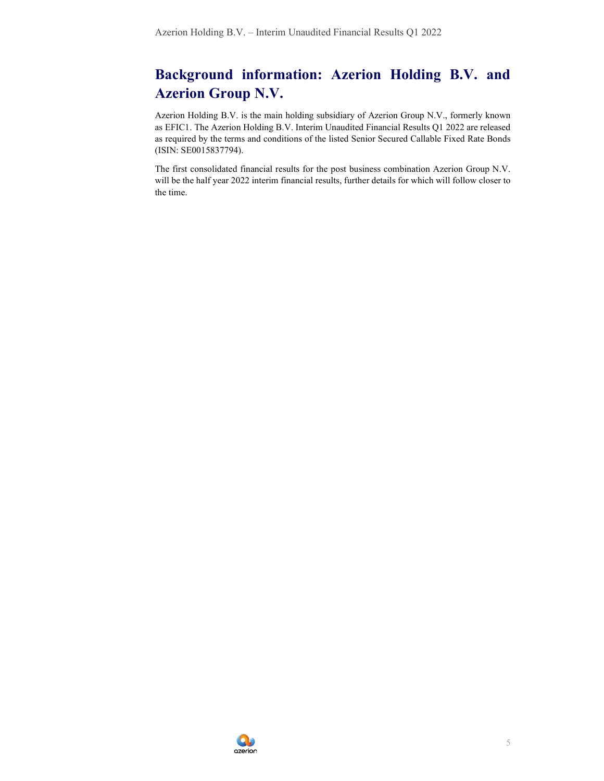## Background information: Azerion Holding B.V. and Azerion Group N.V.

Azerion Holding B.V. is the main holding subsidiary of Azerion Group N.V., formerly known as EFIC1. The Azerion Holding B.V. Interim Unaudited Financial Results Q1 2022 are released as required by the terms and conditions of the listed Senior Secured Callable Fixed Rate Bonds (ISIN: SE0015837794).

The first consolidated financial results for the post business combination Azerion Group N.V. will be the half year 2022 interim financial results, further details for which will follow closer to the time.

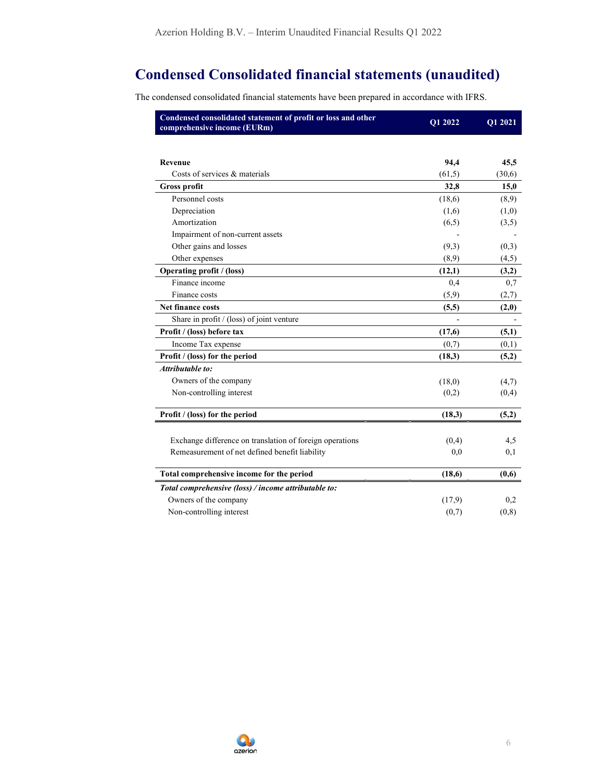## Condensed Consolidated financial statements (unaudited)

The condensed consolidated financial statements have been prepared in accordance with IFRS.

| Condensed consolidated statement of profit or loss and other<br>comprehensive income (EURm) | Q1 2022 | Q1 2021 |
|---------------------------------------------------------------------------------------------|---------|---------|
|                                                                                             |         |         |
| Revenue                                                                                     | 94,4    | 45,5    |
| Costs of services & materials                                                               | (61,5)  | (30,6)  |
| <b>Gross profit</b>                                                                         | 32,8    | 15,0    |
| Personnel costs                                                                             | (18,6)  | (8,9)   |
| Depreciation                                                                                | (1,6)   | (1,0)   |
| Amortization                                                                                | (6,5)   | (3,5)   |
| Impairment of non-current assets                                                            |         |         |
| Other gains and losses                                                                      | (9,3)   | (0,3)   |
| Other expenses                                                                              | (8,9)   | (4,5)   |
| <b>Operating profit / (loss)</b>                                                            | (12,1)  | (3,2)   |
| Finance income                                                                              | 0,4     | 0,7     |
| Finance costs                                                                               | (5,9)   | (2,7)   |
| <b>Net finance costs</b>                                                                    | (5,5)   | (2,0)   |
| Share in profit $/$ (loss) of joint venture                                                 |         |         |
| Profit / (loss) before tax                                                                  | (17,6)  | (5,1)   |
| Income Tax expense                                                                          | (0,7)   | (0,1)   |
| Profit / (loss) for the period                                                              | (18,3)  | (5,2)   |
| Attributable to:                                                                            |         |         |
| Owners of the company                                                                       | (18,0)  | (4,7)   |
| Non-controlling interest                                                                    | (0,2)   | (0,4)   |
| Profit / (loss) for the period                                                              | (18,3)  | (5,2)   |
| Exchange difference on translation of foreign operations                                    | (0,4)   | 4,5     |
| Remeasurement of net defined benefit liability                                              | 0,0     | 0,1     |
| Total comprehensive income for the period                                                   | (18,6)  | (0,6)   |
| Total comprehensive (loss) / income attributable to:                                        |         |         |
| Owners of the company                                                                       | (17,9)  | 0,2     |
| Non-controlling interest                                                                    | (0,7)   | (0, 8)  |

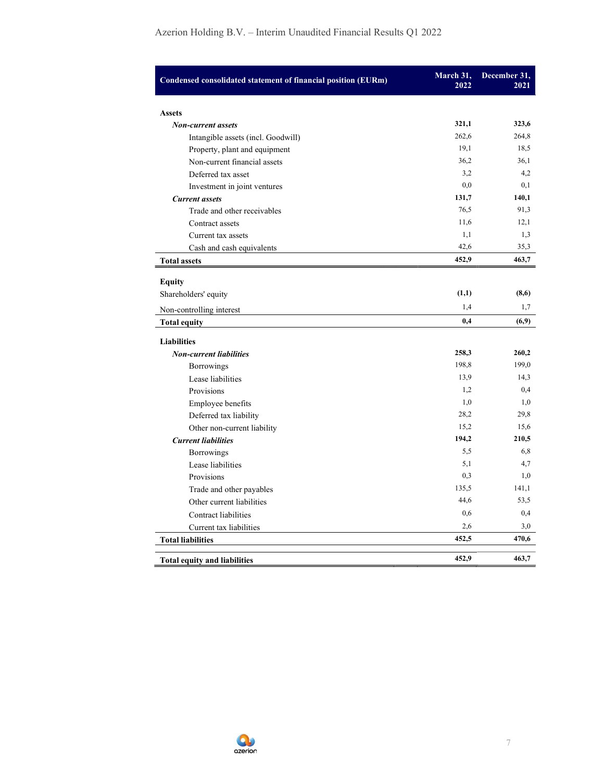| Condensed consolidated statement of financial position (EURm) | March 31,<br>2022 | December 31,<br>2021 |
|---------------------------------------------------------------|-------------------|----------------------|
| <b>Assets</b>                                                 |                   |                      |
| <b>Non-current assets</b>                                     | 321,1             | 323,6                |
| Intangible assets (incl. Goodwill)                            | 262,6             | 264,8                |
| Property, plant and equipment                                 | 19,1              | 18,5                 |
| Non-current financial assets                                  | 36,2              | 36,1                 |
| Deferred tax asset                                            | 3,2               | 4,2                  |
| Investment in joint ventures                                  | 0,0               | 0,1                  |
| <b>Current assets</b>                                         | 131,7             | 140,1                |
| Trade and other receivables                                   | 76,5              | 91,3                 |
| Contract assets                                               | 11,6              | 12,1                 |
| Current tax assets                                            | 1,1               | 1,3                  |
| Cash and cash equivalents                                     | 42,6              | 35,3                 |
| <b>Total assets</b>                                           | 452,9             | 463,7                |
| <b>Equity</b>                                                 |                   |                      |
| Shareholders' equity                                          | (1,1)             | (8,6)                |
|                                                               | 1,4               | 1,7                  |
| Non-controlling interest                                      |                   |                      |
| <b>Total equity</b>                                           | 0,4               | (6,9)                |
| <b>Liabilities</b>                                            |                   |                      |
| <b>Non-current liabilities</b>                                | 258,3             | 260,2                |
| <b>Borrowings</b>                                             | 198,8             | 199,0                |
| Lease liabilities                                             | 13,9              | 14,3                 |
| Provisions                                                    | 1,2               | 0,4                  |
| Employee benefits                                             | 1,0               | 1,0                  |
| Deferred tax liability                                        | 28,2              | 29,8                 |
| Other non-current liability                                   | 15.2              | 15,6                 |
| <b>Current liabilities</b>                                    | 194,2             | 210,5                |
| <b>Borrowings</b>                                             | 5,5               | 6,8                  |
| Lease liabilities                                             | 5,1               | 4,7                  |
| Provisions                                                    | 0.3               | 1,0                  |
| Trade and other payables                                      | 135,5             | 141,1                |
| Other current liabilities                                     | 44,6              | 53,5                 |
| Contract liabilities                                          | 0,6               | 0,4                  |
| Current tax liabilities                                       | 2,6               | 3,0                  |
| <b>Total liabilities</b>                                      | 452,5             | 470,6                |
| <b>Total equity and liabilities</b>                           | 452.9             | 463.7                |

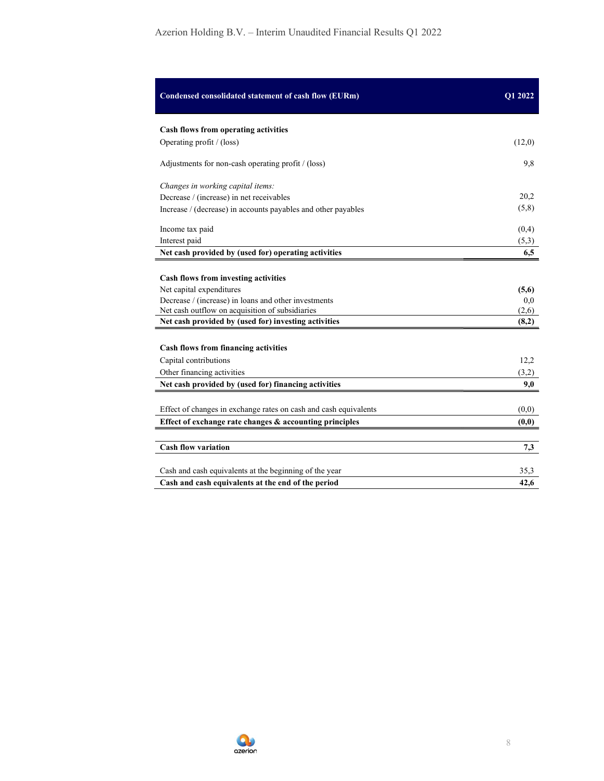| Condensed consolidated statement of cash flow (EURm)                                                                                                                        | Q1 2022               |
|-----------------------------------------------------------------------------------------------------------------------------------------------------------------------------|-----------------------|
| Cash flows from operating activities                                                                                                                                        |                       |
| Operating profit / (loss)                                                                                                                                                   | (12,0)                |
| Adjustments for non-cash operating profit / (loss)                                                                                                                          | 9,8                   |
| Changes in working capital items:                                                                                                                                           |                       |
| Decrease / (increase) in net receivables                                                                                                                                    | 20,2                  |
| Increase / (decrease) in accounts payables and other payables                                                                                                               | (5,8)                 |
| Income tax paid                                                                                                                                                             | (0,4)                 |
| Interest paid                                                                                                                                                               | (5,3)                 |
| Net cash provided by (used for) operating activities                                                                                                                        | 6,5                   |
| Cash flows from investing activities<br>Net capital expenditures<br>Decrease / (increase) in loans and other investments<br>Net cash outflow on acquisition of subsidiaries | (5,6)<br>0,0<br>(2,6) |
| Net cash provided by (used for) investing activities<br>Cash flows from financing activities<br>Capital contributions                                                       | (8,2)<br>12,2         |
| Other financing activities                                                                                                                                                  | (3,2)                 |
| Net cash provided by (used for) financing activities                                                                                                                        | 9,0                   |
| Effect of changes in exchange rates on cash and cash equivalents                                                                                                            | (0,0)                 |
| Effect of exchange rate changes & accounting principles                                                                                                                     | (0,0)                 |
| <b>Cash flow variation</b>                                                                                                                                                  | 7,3                   |
| Cash and cash equivalents at the beginning of the year                                                                                                                      | 35,3                  |
| Cash and cash equivalents at the end of the period                                                                                                                          | 42,6                  |

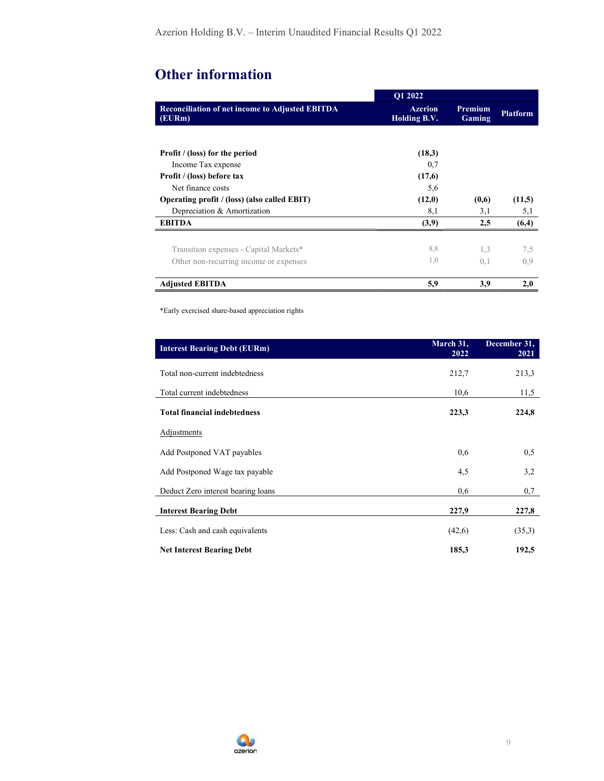# Other information

|                                                                  | O1 2022                        |                   |                 |
|------------------------------------------------------------------|--------------------------------|-------------------|-----------------|
| <b>Reconciliation of net income to Adjusted EBITDA</b><br>(EURm) | <b>Azerion</b><br>Holding B.V. | Premium<br>Gaming | <b>Platform</b> |
|                                                                  |                                |                   |                 |
| <b>Profit</b> / (loss) for the period                            | (18,3)                         |                   |                 |
| Income Tax expense                                               | 0,7                            |                   |                 |
| Profit / (loss) before tax                                       | (17,6)                         |                   |                 |
| Net finance costs                                                | 5,6                            |                   |                 |
| Operating profit / (loss) (also called EBIT)                     | (12,0)                         | (0,6)             | (11,5)          |
| Depreciation & Amortization                                      | 8,1                            | 3,1               | 5,1             |
| <b>EBITDA</b>                                                    | (3,9)                          | 2,5               | (6,4)           |
|                                                                  |                                |                   |                 |
| Transition expenses - Capital Markets*                           | 8,8                            | 1,3               | 7,5             |
| Other non-recurring income or expenses                           | 1,0                            | 0,1               | 0.9             |
| <b>Adjusted EBITDA</b>                                           | 5,9                            | 3,9               | 2,0             |

\*Early exercised share-based appreciation rights

| <b>Interest Bearing Debt (EURm)</b> | March 31,<br>2022 | December 31,<br>2021 |
|-------------------------------------|-------------------|----------------------|
| Total non-current indebtedness      | 212,7             | 213,3                |
| Total current indebtedness          | 10,6              | 11,5                 |
| <b>Total financial indebtedness</b> | 223,3             | 224,8                |
| Adjustments                         |                   |                      |
| Add Postponed VAT payables          | 0,6               | 0,5                  |
| Add Postponed Wage tax payable      | 4,5               | 3,2                  |
| Deduct Zero interest bearing loans  | 0,6               | 0,7                  |
| <b>Interest Bearing Debt</b>        | 227,9             | 227,8                |
| Less: Cash and cash equivalents     | (42,6)            | (35,3)               |
| <b>Net Interest Bearing Debt</b>    | 185,3             | 192,5                |

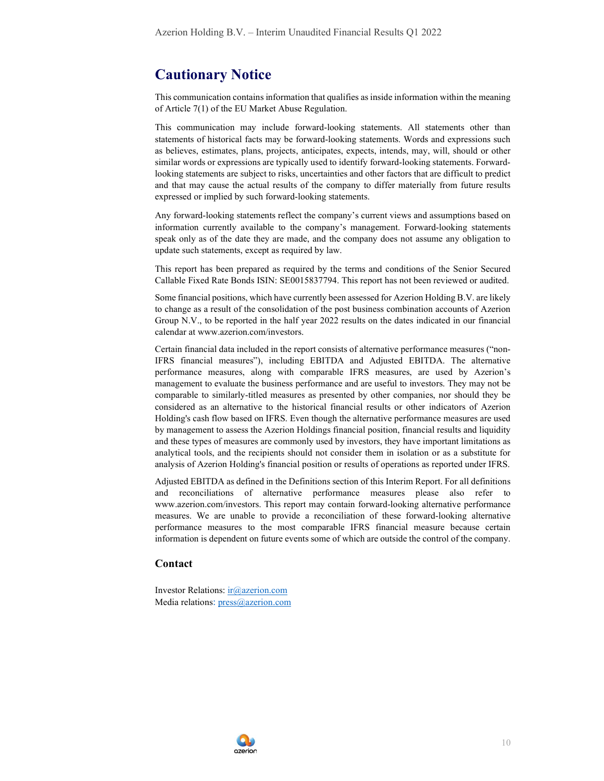### Cautionary Notice

This communication contains information that qualifies as inside information within the meaning of Article 7(1) of the EU Market Abuse Regulation.

This communication may include forward-looking statements. All statements other than statements of historical facts may be forward-looking statements. Words and expressions such as believes, estimates, plans, projects, anticipates, expects, intends, may, will, should or other similar words or expressions are typically used to identify forward-looking statements. Forwardlooking statements are subject to risks, uncertainties and other factors that are difficult to predict and that may cause the actual results of the company to differ materially from future results expressed or implied by such forward-looking statements.

Any forward-looking statements reflect the company's current views and assumptions based on information currently available to the company's management. Forward-looking statements speak only as of the date they are made, and the company does not assume any obligation to update such statements, except as required by law.

This report has been prepared as required by the terms and conditions of the Senior Secured Callable Fixed Rate Bonds ISIN: SE0015837794. This report has not been reviewed or audited.

Some financial positions, which have currently been assessed for Azerion Holding B.V. are likely to change as a result of the consolidation of the post business combination accounts of Azerion Group N.V., to be reported in the half year 2022 results on the dates indicated in our financial calendar at www.azerion.com/investors.

Certain financial data included in the report consists of alternative performance measures ("non-IFRS financial measures"), including EBITDA and Adjusted EBITDA. The alternative performance measures, along with comparable IFRS measures, are used by Azerion's management to evaluate the business performance and are useful to investors. They may not be comparable to similarly-titled measures as presented by other companies, nor should they be considered as an alternative to the historical financial results or other indicators of Azerion Holding's cash flow based on IFRS. Even though the alternative performance measures are used by management to assess the Azerion Holdings financial position, financial results and liquidity and these types of measures are commonly used by investors, they have important limitations as analytical tools, and the recipients should not consider them in isolation or as a substitute for analysis of Azerion Holding's financial position or results of operations as reported under IFRS.

Adjusted EBITDA as defined in the Definitions section of this Interim Report. For all definitions and reconciliations of alternative performance measures please also refer to www.azerion.com/investors. This report may contain forward-looking alternative performance measures. We are unable to provide a reconciliation of these forward-looking alternative performance measures to the most comparable IFRS financial measure because certain information is dependent on future events some of which are outside the control of the company.

### Contact

Investor Relations: ir@azerion.com Media relations: press@azerion.com

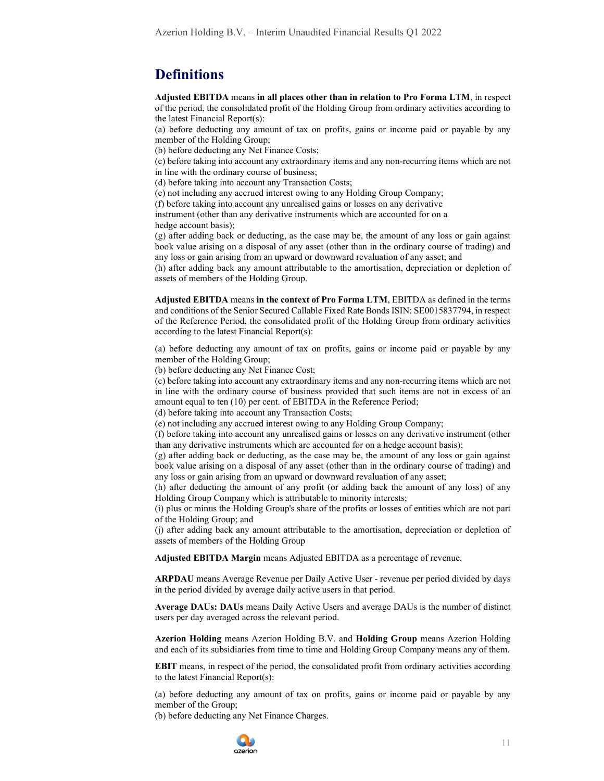### **Definitions**

Adjusted EBITDA means in all places other than in relation to Pro Forma LTM, in respect of the period, the consolidated profit of the Holding Group from ordinary activities according to the latest Financial Report(s):

(a) before deducting any amount of tax on profits, gains or income paid or payable by any member of the Holding Group;

(b) before deducting any Net Finance Costs;

(c) before taking into account any extraordinary items and any non-recurring items which are not in line with the ordinary course of business;

(d) before taking into account any Transaction Costs;

(e) not including any accrued interest owing to any Holding Group Company;

(f) before taking into account any unrealised gains or losses on any derivative

instrument (other than any derivative instruments which are accounted for on a hedge account basis);

(g) after adding back or deducting, as the case may be, the amount of any loss or gain against book value arising on a disposal of any asset (other than in the ordinary course of trading) and any loss or gain arising from an upward or downward revaluation of any asset; and

(h) after adding back any amount attributable to the amortisation, depreciation or depletion of assets of members of the Holding Group.

Adjusted EBITDA means in the context of Pro Forma LTM, EBITDA as defined in the terms and conditions of the Senior Secured Callable Fixed Rate Bonds ISIN: SE0015837794, in respect of the Reference Period, the consolidated profit of the Holding Group from ordinary activities according to the latest Financial Report(s):

(a) before deducting any amount of tax on profits, gains or income paid or payable by any member of the Holding Group;

(b) before deducting any Net Finance Cost;

(c) before taking into account any extraordinary items and any non-recurring items which are not in line with the ordinary course of business provided that such items are not in excess of an amount equal to ten (10) per cent. of EBITDA in the Reference Period;

(d) before taking into account any Transaction Costs;

(e) not including any accrued interest owing to any Holding Group Company;

(f) before taking into account any unrealised gains or losses on any derivative instrument (other than any derivative instruments which are accounted for on a hedge account basis);

(g) after adding back or deducting, as the case may be, the amount of any loss or gain against book value arising on a disposal of any asset (other than in the ordinary course of trading) and any loss or gain arising from an upward or downward revaluation of any asset;

(h) after deducting the amount of any profit (or adding back the amount of any loss) of any Holding Group Company which is attributable to minority interests;

(i) plus or minus the Holding Group's share of the profits or losses of entities which are not part of the Holding Group; and

(j) after adding back any amount attributable to the amortisation, depreciation or depletion of assets of members of the Holding Group

Adjusted EBITDA Margin means Adjusted EBITDA as a percentage of revenue.

ARPDAU means Average Revenue per Daily Active User - revenue per period divided by days in the period divided by average daily active users in that period.

Average DAUs: DAUs means Daily Active Users and average DAUs is the number of distinct users per day averaged across the relevant period.

Azerion Holding means Azerion Holding B.V. and Holding Group means Azerion Holding and each of its subsidiaries from time to time and Holding Group Company means any of them.

EBIT means, in respect of the period, the consolidated profit from ordinary activities according to the latest Financial Report(s):

(a) before deducting any amount of tax on profits, gains or income paid or payable by any member of the Group;

(b) before deducting any Net Finance Charges.